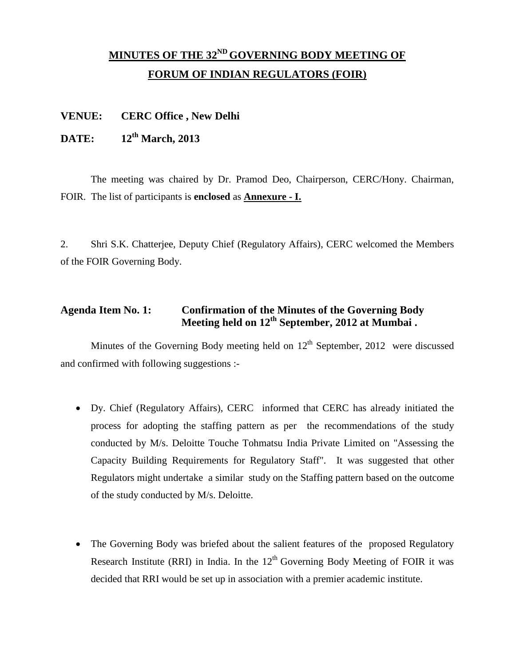# **MINUTES OF THE 32<sup>ND</sup> GOVERNING BODY MEETING OF FORUM OF INDIAN REGULATORS (FOIR)**

#### **VENUE: CERC Office , New Delhi**

#### **DATE: 12 th March, 2013**

The meeting was chaired by Dr. Pramod Deo, Chairperson, CERC/Hony. Chairman, FOIR. The list of participants is **enclosed** as **Annexure - I.**

2. Shri S.K. Chatterjee, Deputy Chief (Regulatory Affairs), CERC welcomed the Members of the FOIR Governing Body.

### **Agenda Item No. 1: Confirmation of the Minutes of the Governing Body Meeting held on 12th September, 2012 at Mumbai .**

Minutes of the Governing Body meeting held on  $12<sup>th</sup>$  September, 2012 were discussed and confirmed with following suggestions :-

- Dy. Chief (Regulatory Affairs), CERC informed that CERC has already initiated the process for adopting the staffing pattern as per the recommendations of the study conducted by M/s. Deloitte Touche Tohmatsu India Private Limited on "Assessing the Capacity Building Requirements for Regulatory Staff". It was suggested that other Regulators might undertake a similar study on the Staffing pattern based on the outcome of the study conducted by M/s. Deloitte.
- The Governing Body was briefed about the salient features of the proposed Regulatory Research Institute (RRI) in India. In the  $12<sup>th</sup>$  Governing Body Meeting of FOIR it was decided that RRI would be set up in association with a premier academic institute.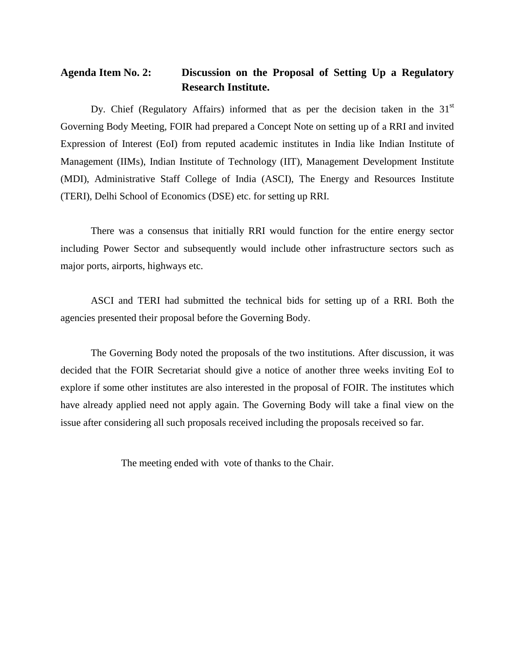### **Agenda Item No. 2: Discussion on the Proposal of Setting Up a Regulatory Research Institute.**

Dy. Chief (Regulatory Affairs) informed that as per the decision taken in the  $31<sup>st</sup>$ Governing Body Meeting, FOIR had prepared a Concept Note on setting up of a RRI and invited Expression of Interest (EoI) from reputed academic institutes in India like Indian Institute of Management (IIMs), Indian Institute of Technology (IIT), Management Development Institute (MDI), Administrative Staff College of India (ASCI), The Energy and Resources Institute (TERI), Delhi School of Economics (DSE) etc. for setting up RRI.

There was a consensus that initially RRI would function for the entire energy sector including Power Sector and subsequently would include other infrastructure sectors such as major ports, airports, highways etc.

ASCI and TERI had submitted the technical bids for setting up of a RRI. Both the agencies presented their proposal before the Governing Body.

The Governing Body noted the proposals of the two institutions. After discussion, it was decided that the FOIR Secretariat should give a notice of another three weeks inviting EoI to explore if some other institutes are also interested in the proposal of FOIR. The institutes which have already applied need not apply again. The Governing Body will take a final view on the issue after considering all such proposals received including the proposals received so far.

The meeting ended with vote of thanks to the Chair.